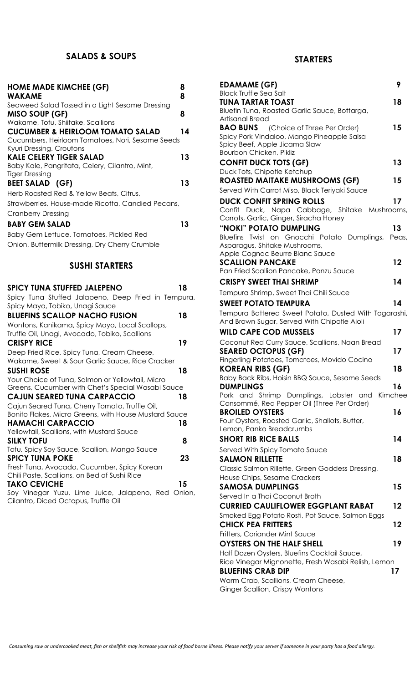## **SALADS & SOUPS**

| <b>HOME MADE KIMCHEE (GF)</b><br><b>WAKAME</b>                                   | 8<br>8 |
|----------------------------------------------------------------------------------|--------|
| Seaweed Salad Tossed in a Light Sesame Dressing                                  |        |
| MISO SOUP (GF)                                                                   | 8      |
| Wakame, Tofu, Shiitake, Scallions<br><b>CUCUMBER &amp; HEIRLOOM TOMATO SALAD</b> | 14     |
| Cucumbers, Heirloom Tomatoes, Nori, Sesame Seeds<br>Kyuri Dressing, Croutons     |        |
| <b>KALE CELERY TIGER SALAD</b>                                                   | 13     |
| Baby Kale, Pangritata, Celery, Cilantro, Mint,<br><b>Tiger Dressing</b>          |        |
| <b>BEET SALAD (GF)</b>                                                           | 13     |
| Herb Roasted Red & Yellow Beats, Citrus,                                         |        |
| Strawberries, House-made Ricotta, Candied Pecans,                                |        |
| <b>Cranberry Dressing</b>                                                        |        |
| <b>BABY GEM SALAD</b>                                                            | 13     |
| Baby Gem Lettuce, Tomatoes, Pickled Red                                          |        |
| Onion, Buttermilk Dressing, Dry Cherry Crumble                                   |        |
|                                                                                  |        |
| <b>SUSHI STARTERS</b>                                                            |        |
|                                                                                  |        |
| <b>SPICY TUNA STUFFED JALEPENO</b>                                               | 18     |
| Spicy Tuna Stuffed Jalapeno, Deep Fried in Tempura,                              |        |
| Spicy Mayo, Tobiko, Unagi Sauce                                                  |        |
| <b>BLUEFINS SCALLOP NACHO FUSION</b>                                             | 18     |
| Wontons, Kanikama, Spicy Mayo, Local Scallops,                                   |        |
| Truffle Oil, Unagi, Avocado, Tobiko, Scallions                                   |        |
| <b>CRISPY RICE</b>                                                               | 19     |
| Deep Fried Rice, Spicy Tuna, Cream Cheese,                                       |        |
| Wakame, Sweet & Sour Garlic Sauce, Rice Cracker                                  |        |
| <b>SUSHI ROSE</b><br>Your Choice of Tuna, Salmon or Yellowtail, Micro            | 18     |
| Greens, Cucumber with Chef's Special Wasabi Sauce                                |        |
| <b>CAJUN SEARED TUNA CARPACCIO</b>                                               | 18     |
| Cajun Seared Tuna, Cherry Tomato, Truffle Oil,                                   |        |
| Bonito Flakes, Micro Greens, with House Mustard Sauce                            |        |
| <b>HAMACHI CARPACCIO</b>                                                         | 18     |
| Yellowtail, Scallions, with Mustard Sauce<br><b>SILKY TOFU</b>                   | 8      |
| Tofu, Spicy Soy Sauce, Scallion, Mango Sauce                                     |        |
| <b>SPICY TUNA POKE</b><br>Fresh Tung Avocado Cucumber Spicy Korean               | 23     |

Fresh Tuna, Avocado, Cucumber, Spicy Korean Chili Paste, Scallions, on Bed of Sushi Rice **TAKO CEVICHE 15** Soy Vinegar Yuzu, Lime Juice, Jalapeno, Red Onion,

Cilantro, Diced Octopus, Truffle Oil

### **STARTERS**

| <b>EDAMAME (GF)</b>                                                                                  | 9       |
|------------------------------------------------------------------------------------------------------|---------|
| <b>Black Truffle Sea Salt</b><br><b>TUNA TARTAR TOAST</b>                                            | 18      |
| Bluefin Tuna, Roasted Garlic Sauce, Bottarga,                                                        |         |
| Artisanal Bread<br><b>BAO BUNS</b><br>(Choice of Three Per Order)                                    | 15      |
| Spicy Pork Vindaloo, Mango Pineapple Salsa                                                           |         |
| Spicy Beef, Apple Jicama Slaw                                                                        |         |
| Bourbon Chicken, Pikliz                                                                              |         |
| <b>CONFIT DUCK TOTS (GF)</b><br>Duck Tots, Chipotle Ketchup                                          | 13      |
| <b>ROASTED MAITAKE MUSHROOMS (GF)</b>                                                                | 15      |
| Served With Carrot Miso, Black Teriyaki Sauce                                                        |         |
| <b>DUCK CONFIT SPRING ROLLS</b>                                                                      | 17      |
| Confit Duck, Napa Cabbage, Shitake Mushrooms,<br>Carrots, Garlic, Ginger, Siracha Honey              |         |
| "NOKI" POTATO DUMPLING                                                                               | 13      |
| Bluefins Twist on Gnocchi Potato Dumplings,                                                          | Peas,   |
| Asparagus, Shitake Mushrooms,                                                                        |         |
| Apple Cognac Beurre Blanc Sauce<br><b>SCALLION PANCAKE</b>                                           | 12      |
| Pan Fried Scallion Pancake, Ponzu Sauce                                                              |         |
| <b>CRISPY SWEET THAI SHRIMP</b>                                                                      | 14      |
| Tempura Shrimp, Sweet Thai Chili Sauce                                                               |         |
| <b>SWEET POTATO TEMPURA</b>                                                                          | 14      |
| Tempura Battered Sweet Potato, Dusted With Togarashi,<br>And Brown Sugar, Served With Chipotle Aioli |         |
| <b>WILD CAPE COD MUSSELS</b>                                                                         | 17      |
| Coconut Red Curry Sauce, Scallions, Naan Bread                                                       |         |
| <b>SEARED OCTOPUS (GF)</b>                                                                           | 17      |
| Fingerling Potatoes, Tomatoes, Movido Cocino                                                         |         |
| <b>KOREAN RIBS (GF)</b><br>Baby Back Ribs, Hoisin BBQ Sauce, Sesame Seeds                            | 18      |
| <b>DUMPLINGS</b>                                                                                     | 16      |
| Pork and Shrimp Dumplings, Lobster and                                                               | Kimchee |
| Consommé, Red Pepper Oil (Three Per Order)<br><b>BROILED OYSTERS</b>                                 | 16      |
| Four Oysters, Roasted Garlic, Shallots, Butter,                                                      |         |
| Lemon, Panko Breadcrumbs                                                                             |         |
| <b>SHORT RIB RICE BALLS</b>                                                                          | 14      |
| Served With Spicy Tomato Sauce                                                                       |         |
| <b>SALMON RILLETTE</b><br>Classic Salmon Rillette, Green Goddess Dressing,                           | 18      |
| House Chips, Sesame Crackers                                                                         |         |
| <b>SAMOSA DUMPLINGS</b>                                                                              | 15      |
| Served In a Thai Coconut Broth                                                                       |         |
| <b>CURRIED CAULIFLOWER EGGPLANT RABAT</b>                                                            | 12      |
| Smoked Egg Potato Rosti, Pot Sauce, Salmon Eggs<br><b>CHICK PEA FRITTERS</b>                         | 12      |
| Fritters, Coriander Mint Sauce                                                                       |         |
| <b>OYSTERS ON THE HALF SHELL</b>                                                                     | 19      |
| Half Dozen Oysters, Bluefins Cocktail Sauce,                                                         |         |
| Rice Vinegar Mignonette, Fresh Wasabi Relish, Lemon<br><b>BLUEFINS CRAB DIP</b>                      |         |
| Warm Crab, Scallions, Cream Cheese,                                                                  | 17      |
| Ginger Scallion, Crispy Wontons                                                                      |         |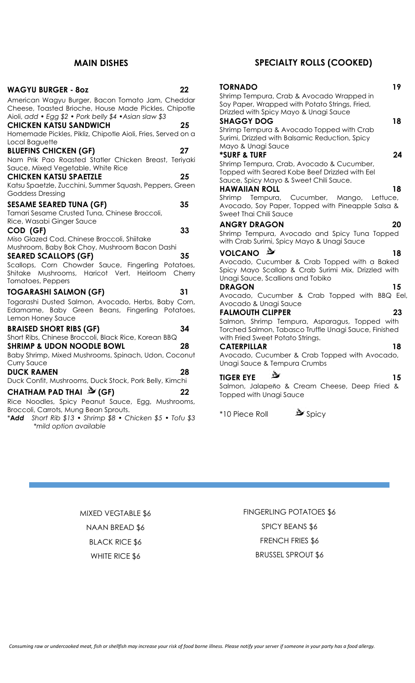#### **MAIN DISHES**

| <b>WAGYU BURGER - 80Z</b>                                                                                                                                           | 22 |
|---------------------------------------------------------------------------------------------------------------------------------------------------------------------|----|
| American Wagyu Burger, Bacon Tomato Jam, Cheddar<br>Cheese, Toasted Brioche, House Made Pickles, Chipotle<br>Aioli, add • Egg \$2 • Pork belly \$4 • Asian slaw \$3 |    |
| <b>CHICKEN KATSU SANDWICH</b>                                                                                                                                       | 25 |
| Homemade Pickles, Pikliz, Chipotle Aioli, Fries, Served on a<br>Local Baguette                                                                                      |    |
| <b>BLUEFINS CHICKEN (GF)</b>                                                                                                                                        | 27 |
| Nam Prik Pao Roasted Statler Chicken Breast, Teriyaki<br>Sauce, Mixed Vegetable, White Rice                                                                         |    |
| <b>CHICKEN KATSU SPAETZLE</b>                                                                                                                                       | 25 |
| Katsu Spaetzle, Zucchini, Summer Squash, Peppers, Green<br>Goddess Dressing                                                                                         |    |
| <b>SESAME SEARED TUNA (GF)</b>                                                                                                                                      | 35 |
| Tamari Sesame Crusted Tuna, Chinese Broccoli,<br>Rice, Wasabi Ginger Sauce                                                                                          |    |
| COD (GF)                                                                                                                                                            | 33 |
| Miso Glazed Cod, Chinese Broccoli, Shiitake                                                                                                                         |    |
| Mushroom, Baby Bok Choy, Mushroom Bacon Dashi                                                                                                                       |    |
| <b>SEARED SCALLOPS (GF)</b>                                                                                                                                         | 35 |
| Scallops, Corn Chowder Sauce, Fingerling Potatoes,<br>Shitake Mushrooms, Haricot Vert, Heirloom Cherry<br>Tomatoes, Peppers                                         |    |
| <b>TOGARASHI SALMON (GF)</b>                                                                                                                                        | 31 |
| Togarashi Dusted Salmon, Avocado, Herbs, Baby Corn,<br>Edamame, Baby Green Beans, Fingerling Potatoes,<br>Lemon Honey Sauce                                         |    |
| <b>BRAISED SHORT RIBS (GF)</b>                                                                                                                                      | 34 |
| Short Ribs, Chinese Broccoli, Black Rice, Korean BBQ                                                                                                                |    |
| <b>SHRIMP &amp; UDON NOODLE BOWL</b>                                                                                                                                | 28 |
| Baby Shrimp, Mixed Mushrooms, Spinach, Udon, Coconut                                                                                                                |    |
| <b>Curry Sauce</b>                                                                                                                                                  |    |
| <b>DUCK RAMEN</b>                                                                                                                                                   | 28 |
| Duck Confit, Mushrooms, Duck Stock, Pork Belly, Kimchi                                                                                                              |    |
| CHATHAM PAD THAI LA (GF)                                                                                                                                            | 22 |
| Rice Noodles, Spicy Peanut Sauce, Egg, Mushrooms,                                                                                                                   |    |
| Broccoli, Carrots, Mung Bean Sprouts.                                                                                                                               |    |
| Short Rib \$13 • Shrimp \$8 • Chicken \$5 • Tofu \$3<br>*Add<br>*mild option available                                                                              |    |

## **SPECIALTY ROLLS (COOKED)**

| <b>TORNADO</b>                                                                                      | 19 |
|-----------------------------------------------------------------------------------------------------|----|
| Shrimp Tempura, Crab & Avocado Wrapped in                                                           |    |
| Soy Paper, Wrapped with Potato Strings, Fried,                                                      |    |
| Drizzled with Spicy Mayo & Unagi Sauce                                                              |    |
| <b>SHAGGY DOG</b>                                                                                   | 18 |
| Shrimp Tempura & Avocado Topped with Crab<br>Surimi, Drizzled with Balsamic Reduction, Spicy        |    |
| Mayo & Unagi Sauce                                                                                  |    |
| <b>*SURF &amp; TURF</b>                                                                             | 24 |
| Shrimp Tempura, Crab, Avocado & Cucumber,                                                           |    |
| Topped with Seared Kobe Beef Drizzled with Eel                                                      |    |
| Sauce, Spicy Mayo & Sweet Chili Sauce.                                                              |    |
| <b>HAWAIIAN ROLL</b>                                                                                | 18 |
| Shrimp Tempura, Cucumber, Mango, Lettuce,                                                           |    |
| Avocado, Soy Paper, Topped with Pineapple Salsa &                                                   |    |
| Sweet Thai Chili Sauce                                                                              |    |
| <b>ANGRY DRAGON</b>                                                                                 | 20 |
| Shrimp Tempura, Avocado and Spicy Tuna Topped<br>with Crab Surimi, Spicy Mayo & Unagi Sauce         |    |
|                                                                                                     |    |
| <b>VOLCANO</b>                                                                                      | 18 |
| Avocado, Cucumber & Crab Topped with a Baked<br>Spicy Mayo Scallop & Crab Surimi Mix, Drizzled with |    |
| Unagi Sauce, Scallions and Tobiko                                                                   |    |
| <b>DRAGON</b>                                                                                       | 15 |
| Avocado, Cucumber & Crab Topped with BBQ Eel,                                                       |    |
| Avocado & Unagi Sauce                                                                               |    |
| <b>FALMOUTH CLIPPER</b>                                                                             | 23 |
| Salmon, Shrimp Tempura, Asparagus, Topped with                                                      |    |
| Torched Salmon, Tabasco Truffle Unagi Sauce, Finished                                               |    |
| with Fried Sweet Potato Strings.                                                                    |    |
| <b>CATERPILLAR</b><br>Avocado, Cucumber & Crab Topped with Avocado,                                 | 18 |
| Unagi Sauce & Tempura Crumbs                                                                        |    |
| رول                                                                                                 |    |
| <b>TIGER EYE</b>                                                                                    | 15 |
| Salmon, Jalapeño & Cream Cheese, Deep Fried &                                                       |    |
| <b>Topped with Unagi Sauce</b>                                                                      |    |

\*10 Piece Roll Spicy

MIXED VEGTABLE \$6 NAAN BREAD \$6 BLACK RICE \$6 WHITE RICE \$6

FINGERLING POTATOES \$6 SPICY BEANS \$6 FRENCH FRIES \$6 BRUSSEL SPROUT \$6

*Consuming raw or undercooked meat, fish or shellfish may increase your risk of food borne illness. Please notify your server if someone in your party has a food allergy.*